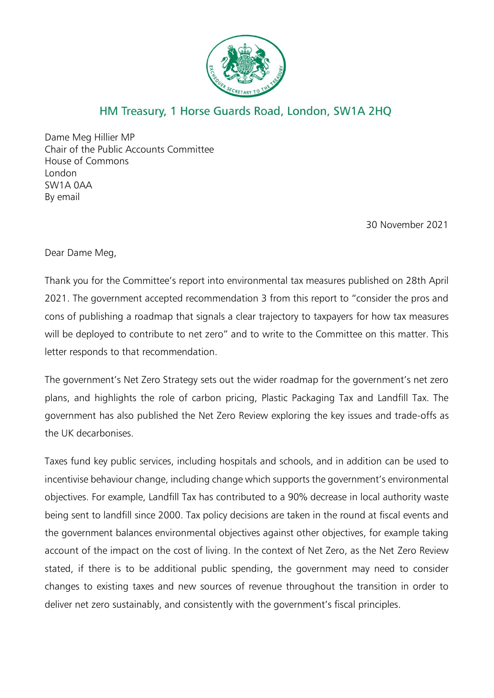

## HM Treasury, 1 Horse Guards Road, London, SW1A 2HQ

Dame Meg Hillier MP Chair of the Public Accounts Committee House of Commons London SW1A 0AA By email

30 November 2021

Dear Dame Meg,

Thank you for the Committee's report into environmental tax measures published on 28th April 2021. The government accepted recommendation 3 from this report to "consider the pros and cons of publishing a roadmap that signals a clear trajectory to taxpayers for how tax measures will be deployed to contribute to net zero" and to write to the Committee on this matter. This letter responds to that recommendation.

The government's Net Zero Strategy sets out the wider roadmap for the government's net zero plans, and highlights the role of carbon pricing, Plastic Packaging Tax and Landfill Tax. The government has also published the Net Zero Review exploring the key issues and trade-offs as the UK decarbonises.

Taxes fund key public services, including hospitals and schools, and in addition can be used to incentivise behaviour change, including change which supports the government's environmental objectives. For example, Landfill Tax has contributed to a 90% decrease in local authority waste being sent to landfill since 2000. Tax policy decisions are taken in the round at fiscal events and the government balances environmental objectives against other objectives, for example taking account of the impact on the cost of living. In the context of Net Zero, as the Net Zero Review stated, if there is to be additional public spending, the government may need to consider changes to existing taxes and new sources of revenue throughout the transition in order to deliver net zero sustainably, and consistently with the government's fiscal principles.